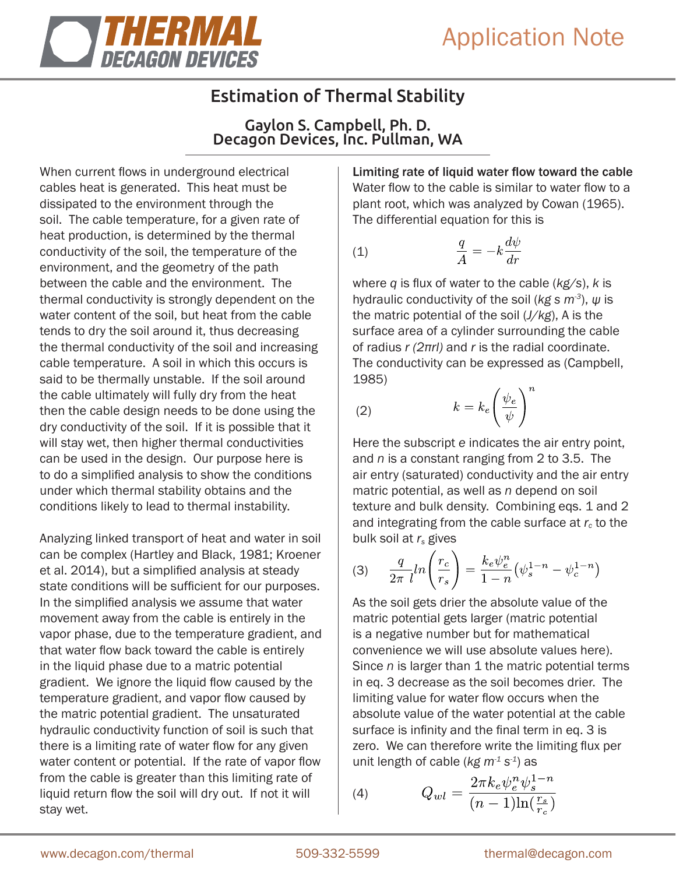

# Estimation of Thermal Stability

Gaylon S. Campbell, Ph. D. Decagon Devices, Inc. Pullman, WA

When current flows in underground electrical cables heat is generated. This heat must be dissipated to the environment through the soil. The cable temperature, for a given rate of heat production, is determined by the thermal conductivity of the soil, the temperature of the environment, and the geometry of the path between the cable and the environment. The thermal conductivity is strongly dependent on the water content of the soil, but heat from the cable tends to dry the soil around it, thus decreasing the thermal conductivity of the soil and increasing cable temperature. A soil in which this occurs is said to be thermally unstable. If the soil around the cable ultimately will fully dry from the heat then the cable design needs to be done using the dry conductivity of the soil. If it is possible that it will stay wet, then higher thermal conductivities can be used in the design. Our purpose here is to do a simplified analysis to show the conditions under which thermal stability obtains and the conditions likely to lead to thermal instability.

Analyzing linked transport of heat and water in soil can be complex (Hartley and Black, 1981; Kroener et al. 2014), but a simplified analysis at steady state conditions will be sufficient for our purposes. In the simplified analysis we assume that water movement away from the cable is entirely in the vapor phase, due to the temperature gradient, and that water flow back toward the cable is entirely in the liquid phase due to a matric potential gradient. We ignore the liquid flow caused by the temperature gradient, and vapor flow caused by the matric potential gradient. The unsaturated hydraulic conductivity function of soil is such that there is a limiting rate of water flow for any given water content or potential. If the rate of vapor flow from the cable is greater than this limiting rate of liquid return flow the soil will dry out. If not it will stay wet.

Limiting rate of liquid water flow toward the cable Water flow to the cable is similar to water flow to a plant root, which was analyzed by Cowan (1965). The differential equation for this is

$$
\frac{q}{A} = -k \frac{d\psi}{dr}
$$

where *q* is flux of water to the cable (*kg/s*), *k* is hydraulic conductivity of the soil (*kg s m-3*), *ψ* is the matric potential of the soil (*J/kg*), A is the surface area of a cylinder surrounding the cable of radius *r (2πrl)* and *r* is the radial coordinate. The conductivity can be expressed as (Campbell, 1985)  $\overline{n}$ 

$$
(2) \t k = k_e \left(\frac{\psi_e}{\psi}\right)
$$

Here the subscript *e* indicates the air entry point, and *n* is a constant ranging from 2 to 3.5. The air entry (saturated) conductivity and the air entry matric potential, as well as *n* depend on soil texture and bulk density. Combining eqs. 1 and 2 and integrating from the cable surface at  $r_c$  to the bulk soil at *rs* gives

(3) 
$$
\frac{q}{2\pi} \ln \left( \frac{r_c}{r_s} \right) = \frac{k_e \psi_e^n}{1 - n} \left( \psi_s^{1 - n} - \psi_c^{1 - n} \right)
$$

As the soil gets drier the absolute value of the matric potential gets larger (matric potential is a negative number but for mathematical convenience we will use absolute values here). Since *n* is larger than 1 the matric potential terms in eq. 3 decrease as the soil becomes drier. The limiting value for water flow occurs when the absolute value of the water potential at the cable surface is infinity and the final term in eq. 3 is zero. We can therefore write the limiting flux per unit length of cable (*kg m-1 s-1*) as

(4) 
$$
Q_{wl} = \frac{2\pi k_e \psi_e^n \psi_s^{1-n}}{(n-1)\ln(\frac{r_s}{r_c})}
$$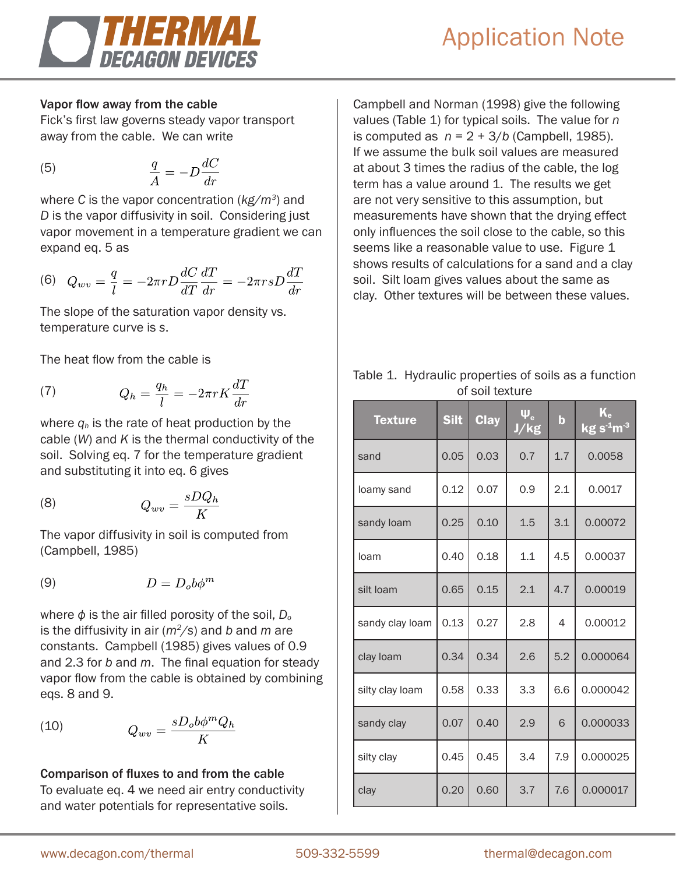

### Vapor flow away from the cable

Fick's first law governs steady vapor transport away from the cable. We can write

$$
\frac{q}{A} = -D\frac{dC}{dr}
$$

where *C* is the vapor concentration (*kg/m3*) and *D* is the vapor diffusivity in soil. Considering just vapor movement in a temperature gradient we can expand eq. 5 as

$$
(6) \quad Q_{wv} = \frac{q}{l} = -2\pi r D \frac{dC}{dT} \frac{dT}{dr} = -2\pi rs D \frac{dT}{dr}
$$

The slope of the saturation vapor density vs. temperature curve is *s*.

The heat flow from the cable is

(7) 
$$
Q_h = \frac{q_h}{l} = -2\pi r K \frac{dT}{dr}
$$

where  $q_h$  is the rate of heat production by the cable (*W*) and *K* is the thermal conductivity of the soil. Solving eq. 7 for the temperature gradient and substituting it into eq. 6 gives

$$
(8) \tQ_{wv} = \frac{sDQ_h}{K}
$$

The vapor diffusivity in soil is computed from (Campbell, 1985)

$$
(9) \t\t D = D_o b \phi^m
$$

where  $\phi$  is the air filled porosity of the soil,  $D_0$ is the diffusivity in air (*m2/s*) and *b* and *m* are constants. Campbell (1985) gives values of 0.9 and 2.3 for *b* and *m*. The final equation for steady vapor flow from the cable is obtained by combining eqs. 8 and 9.

$$
(10)\qquad \qquad Q_{wv} = \frac{sD_o b\phi^m Q_h}{K}
$$

# Comparison of fluxes to and from the cable To evaluate eq. 4 we need air entry conductivity and water potentials for representative soils.

Campbell and Norman (1998) give the following values (Table 1) for typical soils. The value for *n* is computed as  $n = 2 + 3/b$  (Campbell, 1985). If we assume the bulk soil values are measured at about 3 times the radius of the cable, the log term has a value around 1. The results we get are not very sensitive to this assumption, but measurements have shown that the drying effect only influences the soil close to the cable, so this seems like a reasonable value to use. Figure 1 shows results of calculations for a sand and a clay soil. Silt loam gives values about the same as clay. Other textures will be between these values.

Table 1. Hydraulic properties of soils as a function of soil texture

| <b>Texture</b>  | <b>Silt</b> | <b>Clay</b> | $\Psi_{\rm e}$<br>J/kg | $\mathbf b$ | $K_{\rm e}$<br>$\overline{\mathrm{kg s}}^{\text{-1}}\mathrm{m}^{\text{-3}}$ |
|-----------------|-------------|-------------|------------------------|-------------|-----------------------------------------------------------------------------|
| sand            | 0.05        | 0.03        | 0.7                    | 1.7         | 0.0058                                                                      |
| loamy sand      | 0.12        | 0.07        | 0.9                    | 2.1         | 0.0017                                                                      |
| sandy loam      | 0.25        | 0.10        | 1.5                    | 3.1         | 0.00072                                                                     |
| loam            | 0.40        | 0.18        | 1.1                    | 4.5         | 0.00037                                                                     |
| silt loam       | 0.65        | 0.15        | 2.1                    | 4.7         | 0.00019                                                                     |
| sandy clay loam | 0.13        | 0.27        | 2.8                    | 4           | 0.00012                                                                     |
| clay loam       | 0.34        | 0.34        | 2.6                    | 5.2         | 0.000064                                                                    |
| silty clay loam | 0.58        | 0.33        | 3.3                    | 6.6         | 0.000042                                                                    |
| sandy clay      | 0.07        | 0.40        | 2.9                    | 6           | 0.000033                                                                    |
| silty clay      | 0.45        | 0.45        | 3.4                    | 7.9         | 0.000025                                                                    |
| clay            | 0.20        | 0.60        | 3.7                    | 7.6         | 0.000017                                                                    |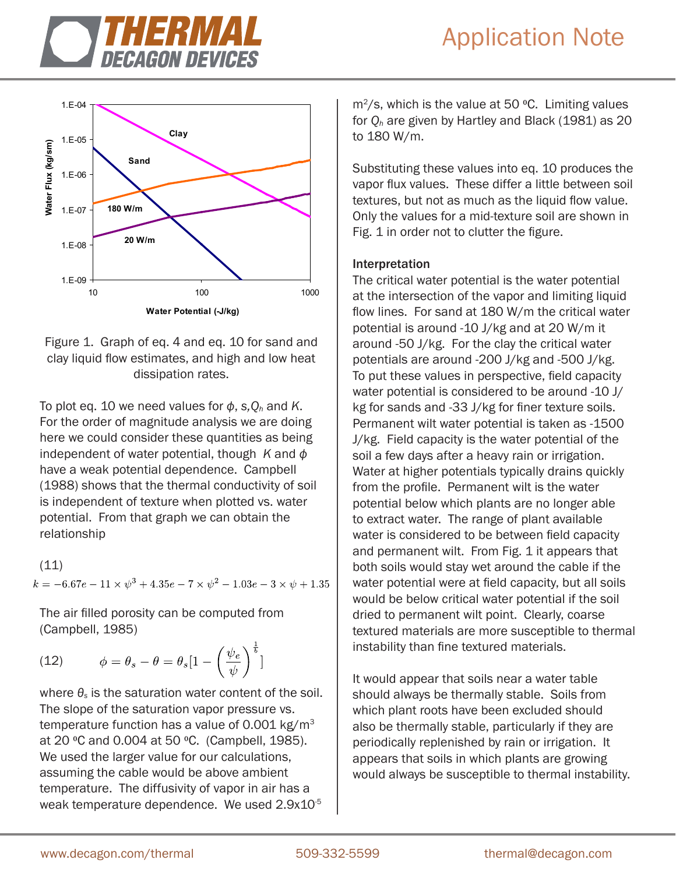



Figure 1. Graph of eq. 4 and eq. 10 for sand and clay liquid flow estimates, and high and low heat dissipation rates.

To plot eq. 10 we need values for  $\phi$ , s,  $Q_h$  and K. For the order of magnitude analysis we are doing here we could consider these quantities as being independent of water potential, though *K* and *ф* have a weak potential dependence. Campbell (1988) shows that the thermal conductivity of soil is independent of texture when plotted vs. water potential. From that graph we can obtain the relationship

(11)  $k = -6.67e - 11 \times \psi^3 + 4.35e - 7 \times \psi^2 - 1.03e - 3 \times \psi + 1.35$ 

The air filled porosity can be computed from (Campbell, 1985)

(12) 
$$
\phi = \theta_s - \theta = \theta_s \left[ 1 - \left( \frac{\psi_e}{\psi} \right)^{\frac{1}{b}}
$$

where *θs* is the saturation water content of the soil. The slope of the saturation vapor pressure vs. temperature function has a value of 0.001 kg/ $m<sup>3</sup>$ at 20 °C and 0.004 at 50 °C. (Campbell, 1985). We used the larger value for our calculations, assuming the cable would be above ambient temperature. The diffusivity of vapor in air has a weak temperature dependence. We used 2.9x10<sup>-5</sup>

 $m^2$ /s, which is the value at 50 °C. Limiting values for *Qh* are given by Hartley and Black (1981) as 20 to 180 W/m.

Substituting these values into eq. 10 produces the vapor flux values. These differ a little between soil textures, but not as much as the liquid flow value. Only the values for a mid-texture soil are shown in Fig. 1 in order not to clutter the figure.

# Interpretation

The critical water potential is the water potential at the intersection of the vapor and limiting liquid flow lines. For sand at 180 W/m the critical water potential is around -10 J/kg and at 20 W/m it around -50 J/kg. For the clay the critical water potentials are around -200 J/kg and -500 J/kg. To put these values in perspective, field capacity water potential is considered to be around -10 J/ kg for sands and -33 J/kg for finer texture soils. Permanent wilt water potential is taken as -1500 J/kg. Field capacity is the water potential of the soil a few days after a heavy rain or irrigation. Water at higher potentials typically drains quickly from the profile. Permanent wilt is the water potential below which plants are no longer able to extract water. The range of plant available water is considered to be between field capacity and permanent wilt. From Fig. 1 it appears that both soils would stay wet around the cable if the water potential were at field capacity, but all soils would be below critical water potential if the soil dried to permanent wilt point. Clearly, coarse textured materials are more susceptible to thermal instability than fine textured materials.

It would appear that soils near a water table should always be thermally stable. Soils from which plant roots have been excluded should also be thermally stable, particularly if they are periodically replenished by rain or irrigation. It appears that soils in which plants are growing would always be susceptible to thermal instability.